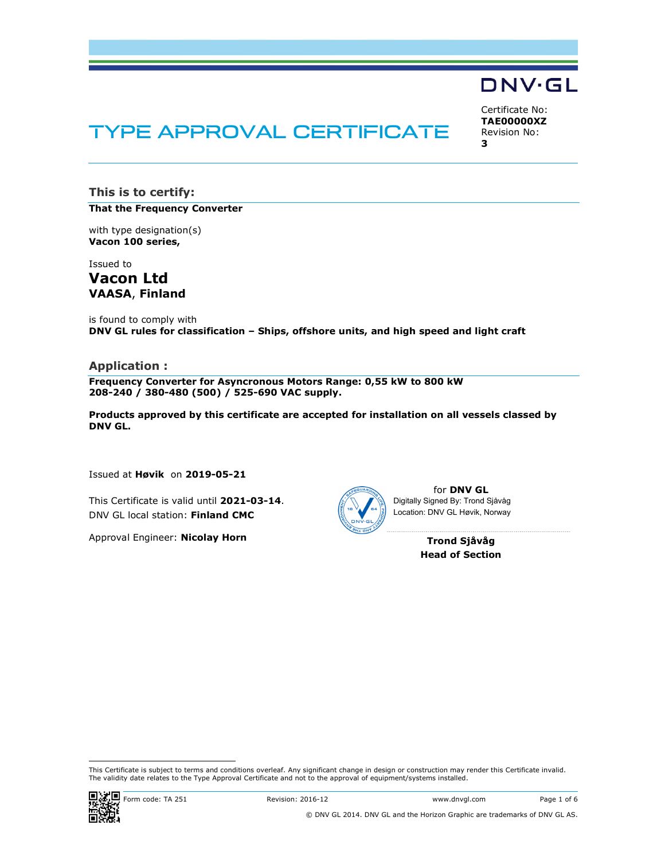

# TYPE APPROVAL CERTIFICATE

Certificate No: TAE00000XZ Revision No: 3

This is to certify:

That the Frequency Converter

with type designation(s) Vacon 100 series,

Issued to Vacon Ltd VAASA, Finland

is found to comply with DNV GL rules for classification – Ships, offshore units, and high speed and light craft

#### Application :

Frequency Converter for Asyncronous Motors Range: 0,55 kW to 800 kW 208-240 / 380-480 (500) / 525-690 VAC supply.

Products approved by this certificate are accepted for installation on all vessels classed by DNV GL.

Issued at Høvik on 2019-05-21

This Certificate is valid until 2021-03-14. DNV GL local station: Finland CMC

Approval Engineer: Nicolay Horn



for DNV GL Digitally Signed By: Trond Sjåvåg Location: DNV GL Høvik, Norway

> Trond Sjåvåg Head of Section

This Certificate is subject to terms and conditions overleaf. Any significant change in design or construction may render this Certificate invalid.<br>The validity date relates to the Type Approval Certificate and not to the



i<br>I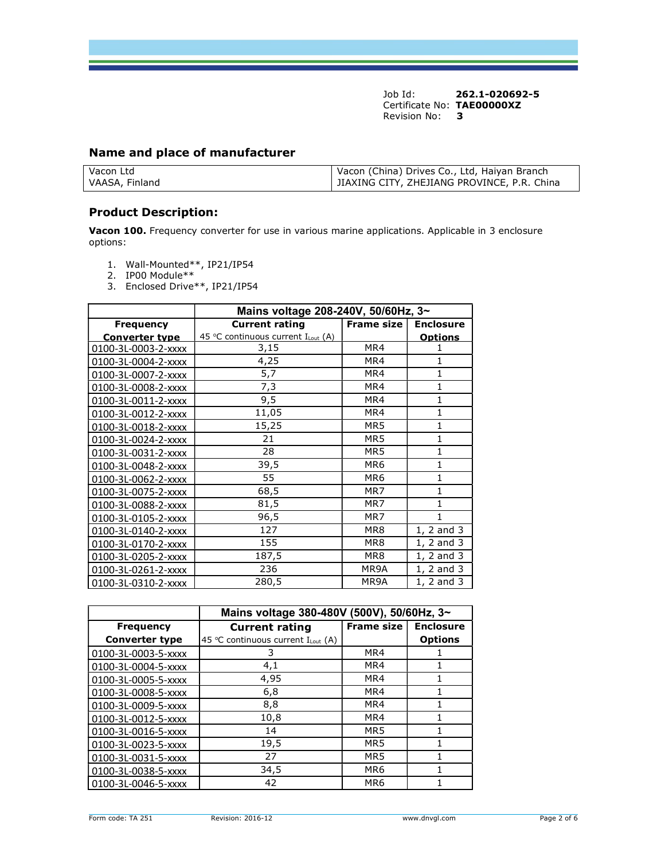## Name and place of manufacturer

| Vacon Ltd      | Vacon (China) Drives Co., Ltd, Haiyan Branch |
|----------------|----------------------------------------------|
| VAASA, Finland | JIAXING CITY, ZHEJIANG PROVINCE, P.R. China  |

#### Product Description:

Vacon 100. Frequency converter for use in various marine applications. Applicable in 3 enclosure options:

- 1. Wall-Mounted\*\*, IP21/IP54
- 2. IP00 Module\*\*
- 3. Enclosed Drive\*\*, IP21/IP54

|                       | Mains voltage 208-240V, 50/60Hz, 3~ |                   |                  |
|-----------------------|-------------------------------------|-------------------|------------------|
| <b>Frequency</b>      | <b>Current rating</b>               | <b>Frame size</b> | <b>Enclosure</b> |
| <b>Converter type</b> | 45 °C continuous current ILout (A)  |                   | <b>Options</b>   |
| 0100-3L-0003-2-xxxx   | 3,15                                | MR4               | 1                |
| 0100-3L-0004-2-xxxx   | 4,25                                | MR4               | 1                |
| 0100-3L-0007-2-xxxx   | 5,7                                 | MR4               | 1                |
| 0100-3L-0008-2-xxxx   | 7,3                                 | MR4               | 1                |
| 0100-3L-0011-2-xxxx   | 9,5                                 | MR4               | $\mathbf{1}$     |
| 0100-3L-0012-2-xxxx   | 11,05                               | MR4               | $\mathbf{1}$     |
| 0100-3L-0018-2-xxxx   | 15,25                               | MR <sub>5</sub>   | 1                |
| 0100-3L-0024-2-xxxx   | 21                                  | MR <sub>5</sub>   | $\mathbf{1}$     |
| 0100-3L-0031-2-xxxx   | 28                                  | MR <sub>5</sub>   | 1                |
| 0100-3L-0048-2-xxxx   | 39,5                                | MR <sub>6</sub>   | $\mathbf{1}$     |
| 0100-3L-0062-2-xxxx   | 55                                  | MR <sub>6</sub>   | 1                |
| 0100-3L-0075-2-xxxx   | 68,5                                | MR7               | 1                |
| 0100-3L-0088-2-xxxx   | 81,5                                | MR7               | 1                |
| 0100-3L-0105-2-xxxx   | 96,5                                | MR7               | 1                |
| 0100-3L-0140-2-xxxx   | 127                                 | MR8               | 1, 2 and 3       |
| 0100-3L-0170-2-xxxx   | 155                                 | MR8               | 1, 2 and 3       |
| 0100-3L-0205-2-xxxx   | 187,5                               | MR8               | 1, 2 and 3       |
| 0100-3L-0261-2-xxxx   | 236                                 | MR9A              | 1, 2 and 3       |
| 0100-3L-0310-2-xxxx   | 280,5                               | MR9A              | 1, 2 and 3       |

|                       | Mains voltage 380-480V (500V), 50/60Hz, 3~    |                   |                  |
|-----------------------|-----------------------------------------------|-------------------|------------------|
| <b>Frequency</b>      | <b>Current rating</b>                         | <b>Frame size</b> | <b>Enclosure</b> |
| <b>Converter type</b> | 45 °C continuous current $I_{\text{Lout}}(A)$ |                   | <b>Options</b>   |
| 0100-3L-0003-5-xxxx   | 3                                             | MR4               |                  |
| 0100-3L-0004-5-xxxx   | 4,1                                           | MR4               |                  |
| 0100-3L-0005-5-xxxx   | 4,95                                          | MR4               |                  |
| 0100-3L-0008-5-xxxx   | 6,8                                           | MR4               |                  |
| 0100-3L-0009-5-xxxx   | 8,8                                           | MR4               |                  |
| 0100-3L-0012-5-xxxx   | 10,8                                          | MR4               |                  |
| 0100-3L-0016-5-xxxx   | 14                                            | MR <sub>5</sub>   |                  |
| 0100-3L-0023-5-xxxx   | 19,5                                          | MR5               |                  |
| 0100-3L-0031-5-xxxx   | 27                                            | MR <sub>5</sub>   |                  |
| 0100-3L-0038-5-xxxx   | 34,5                                          | MR <sub>6</sub>   |                  |
| 0100-3L-0046-5-xxxx   | 42                                            | MR <sub>6</sub>   |                  |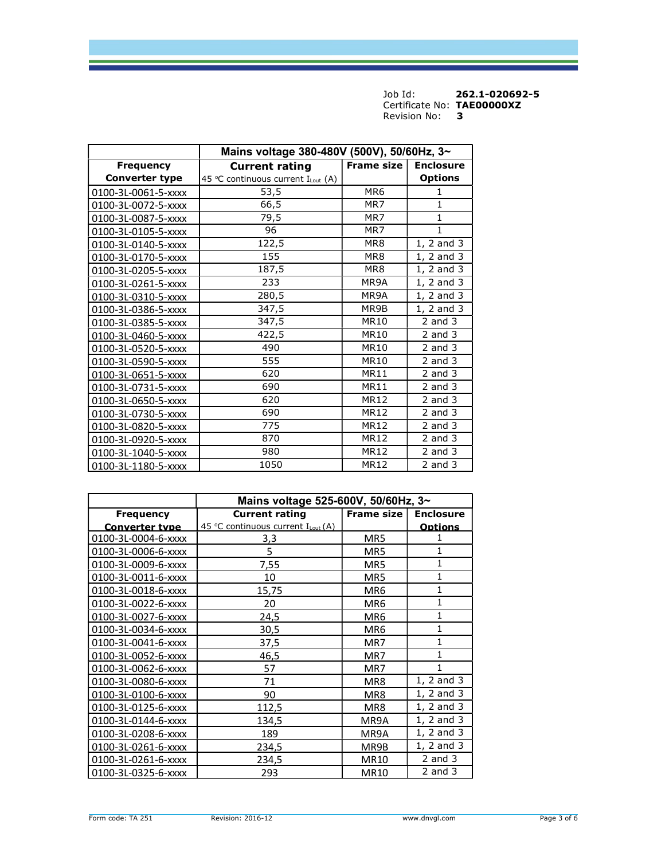|                       | Mains voltage 380-480V (500V), 50/60Hz, 3~ |                   |                  |
|-----------------------|--------------------------------------------|-------------------|------------------|
| <b>Frequency</b>      | <b>Current rating</b>                      | <b>Frame size</b> | <b>Enclosure</b> |
| <b>Converter type</b> | 45 °C continuous current ILout (A)         |                   | <b>Options</b>   |
| 0100-3L-0061-5-xxxx   | 53,5                                       | MR <sub>6</sub>   | 1                |
| 0100-3L-0072-5-xxxx   | 66,5                                       | MR7               | $\mathbf{1}$     |
| 0100-3L-0087-5-xxxx   | 79,5                                       | MR7               | $\mathbf{1}$     |
| 0100-3L-0105-5-xxxx   | 96                                         | MR7               | $\mathbf{1}$     |
| 0100-3L-0140-5-xxxx   | 122,5                                      | MR8               | $1, 2$ and $3$   |
| 0100-3L-0170-5-xxxx   | 155                                        | MR8               | 1, 2 and 3       |
| 0100-3L-0205-5-xxxx   | 187,5                                      | MR <sub>8</sub>   | $1, 2$ and $3$   |
| 0100-3L-0261-5-xxxx   | 233                                        | MR9A              | 1, 2 and 3       |
| 0100-3L-0310-5-xxxx   | 280,5                                      | MR9A              | 1, 2 and 3       |
| 0100-3L-0386-5-xxxx   | 347,5                                      | MR9B              | $1, 2$ and $3$   |
| 0100-3L-0385-5-xxxx   | 347,5                                      | <b>MR10</b>       | $2$ and $3$      |
| 0100-3L-0460-5-xxxx   | $\overline{4}$ 22,5                        | <b>MR10</b>       | $2$ and $3$      |
| 0100-3L-0520-5-xxxx   | 490                                        | MR10              | $2$ and $3$      |
| 0100-3L-0590-5-xxxx   | 555                                        | <b>MR10</b>       | $2$ and $3$      |
| 0100-3L-0651-5-xxxx   | 620                                        | MR11              | $2$ and $3$      |
| 0100-3L-0731-5-xxxx   | 690                                        | <b>MR11</b>       | $2$ and $3$      |
| 0100-3L-0650-5-xxxx   | 620                                        | <b>MR12</b>       | $2$ and $3$      |
| 0100-3L-0730-5-xxxx   | 690                                        | <b>MR12</b>       | $2$ and $3$      |
| 0100-3L-0820-5-xxxx   | 775                                        | <b>MR12</b>       | $2$ and $3$      |
| 0100-3L-0920-5-xxxx   | 870                                        | <b>MR12</b>       | $2$ and $3$      |
| 0100-3L-1040-5-xxxx   | 980                                        | <b>MR12</b>       | $2$ and $3$      |
| 0100-3L-1180-5-xxxx   | 1050                                       | <b>MR12</b>       | $2$ and $3$      |

|                       | Mains voltage 525-600V, 50/60Hz, 3~ |                     |                  |
|-----------------------|-------------------------------------|---------------------|------------------|
| <b>Frequency</b>      | <b>Current rating</b>               | <b>Frame size I</b> | <b>Enclosure</b> |
| <b>Converter type</b> | 45 °C continuous current ILout (A)  |                     | <b>Options</b>   |
| 0100-3L-0004-6-xxxx   | 3,3                                 | MR5                 |                  |
| 0100-3L-0006-6-xxxx   | 5                                   | MR5                 | 1                |
| 0100-3L-0009-6-xxxx   | 7,55                                | MR5                 | 1                |
| 0100-3L-0011-6-xxxx   | 10                                  | MR5                 | 1                |
| 0100-3L-0018-6-xxxx   | 15.75                               | MR6                 | 1                |
| 0100-3L-0022-6-xxxx   | 20                                  | MR6                 | $\overline{1}$   |
| 0100-3L-0027-6-xxxx   | 24,5                                | MR6                 | 1                |
| 0100-3L-0034-6-xxxx   | 30,5                                | MR6                 | 1                |
| 0100-3L-0041-6-xxxx   | 37,5                                | MR7                 | $\mathbf{1}$     |
| 0100-3L-0052-6-xxxx   | 46,5                                | MR7                 | 1                |
| 0100-3L-0062-6-xxxx   | 57                                  | MR7                 | 1                |
| 0100-3L-0080-6-xxxx   | 71                                  | MR8                 | 1, 2 and 3       |
| 0100-3L-0100-6-xxxx   | 90                                  | MR8                 | 1, 2 and 3       |
| 0100-3L-0125-6-xxxx   | 112,5                               | MR8                 | 1, 2 and 3       |
| 0100-3L-0144-6-xxxx   | 134,5                               | MR9A                | 1, 2 and 3       |
| 0100-3L-0208-6-xxxx   | 189                                 | MR9A                | 1, 2 and 3       |
| 0100-3L-0261-6-xxxx   | 234,5                               | MR9B                | 1, 2 and 3       |
| 0100-3L-0261-6-xxxx   | 234,5                               | MR10                | $2$ and $3$      |
| 0100-3L-0325-6-xxxx   | 293                                 | MR10                | $2$ and $3$      |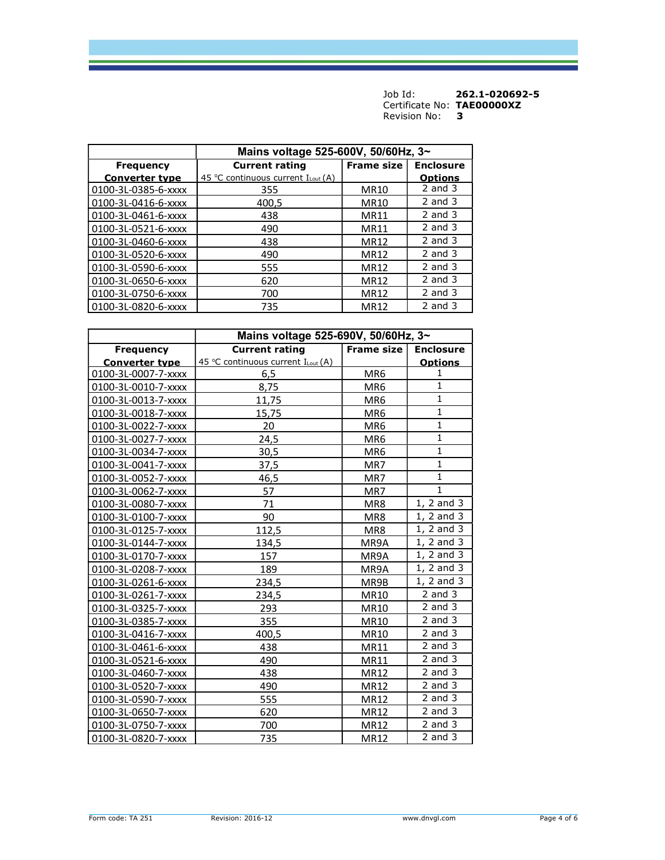|                       | Mains voltage 525-600V, 50/60Hz, 3~           |                   |                  |
|-----------------------|-----------------------------------------------|-------------------|------------------|
| <b>Frequency</b>      | <b>Current rating</b>                         | <b>Frame size</b> | <b>Enclosure</b> |
| <b>Converter type</b> | 45 °C continuous current $I_{\text{Lout}}(A)$ |                   | <b>Options</b>   |
| 0100-3L-0385-6-xxxx   | 355                                           | <b>MR10</b>       | $2$ and $3$      |
| 0100-3L-0416-6-xxxx   | 400,5                                         | MR10              | $2$ and $3$      |
| 0100-3L-0461-6-xxxx   | 438                                           | MR11              | $2$ and $3$      |
| 0100-3L-0521-6-xxxx   | 490                                           | <b>MR11</b>       | $2$ and $3$      |
| 0100-3L-0460-6-xxxx   | 438                                           | <b>MR12</b>       | $2$ and $3$      |
| 0100-3L-0520-6-xxxx   | 490                                           | <b>MR12</b>       | $2$ and $3$      |
| 0100-3L-0590-6-xxxx   | 555                                           | MR12              | $2$ and $3$      |
| 0100-3L-0650-6-xxxx   | 620                                           | MR12              | $2$ and $3$      |
| 0100-3L-0750-6-xxxx   | 700                                           | <b>MR12</b>       | $2$ and $3$      |
| 0100-3L-0820-6-xxxx   | 735                                           | MR12              | $2$ and $3$      |

|                       | Mains voltage 525-690V, 50/60Hz, 3~ |                   |                      |
|-----------------------|-------------------------------------|-------------------|----------------------|
| <b>Frequency</b>      | <b>Current rating</b>               | <b>Frame size</b> | <b>Enclosure</b>     |
| <b>Converter type</b> | 45 °C continuous current ILout (A)  |                   | <b>Options</b>       |
| 0100-3L-0007-7-xxxx   | 6,5                                 | MR6               | 1                    |
| 0100-3L-0010-7-xxxx   | 8,75                                | MR6               | $\mathbf{1}$         |
| 0100-3L-0013-7-xxxx   | 11,75                               | MR6               | $\mathbf{1}$         |
| 0100-3L-0018-7-xxxx   | 15,75                               | MR <sub>6</sub>   | $\mathbf{1}$         |
| 0100-3L-0022-7-xxxx   | 20                                  | MR6               | $\mathbf{1}$         |
| 0100-3L-0027-7-xxxx   | 24,5                                | MR6               | $\mathbf 1$          |
| 0100-3L-0034-7-xxxx   | 30,5                                | MR6               | $\mathbf{1}$         |
| 0100-3L-0041-7-xxxx   | 37,5                                | MR7               | $\mathbf{1}$         |
| 0100-3L-0052-7-xxxx   | 46,5                                | MR7               | $\mathbf{1}$         |
| 0100-3L-0062-7-xxxx   | 57                                  | MR7               | $\mathbf{1}$         |
| 0100-3L-0080-7-xxxx   | 71                                  | MR8               | 1, 2 and 3           |
| 0100-3L-0100-7-xxxx   | 90                                  | MR8               | 1, 2 and 3           |
| 0100-3L-0125-7-xxxx   | 112,5                               | MR8               | 1, 2 and 3           |
| 0100-3L-0144-7-xxxx   | 134,5                               | MR9A              | 1, 2 and 3           |
| 0100-3L-0170-7-xxxx   | 157                                 | MR9A              | 1, 2 and 3           |
| 0100-3L-0208-7-xxxx   | 189                                 | MR9A              | $1, 2$ and $3$       |
| 0100-3L-0261-6-xxxx   | 234,5                               | MR9B              | 1, 2 and 3           |
| 0100-3L-0261-7-xxxx   | 234,5                               | MR10              | 2 and $\overline{3}$ |
| 0100-3L-0325-7-xxxx   | 293                                 | MR10              | $2$ and $3$          |
| 0100-3L-0385-7-xxxx   | 355                                 | MR10              | $2$ and $3$          |
| 0100-3L-0416-7-xxxx   | 400,5                               | MR10              | $2$ and $3$          |
| 0100-3L-0461-6-xxxx   | 438                                 | <b>MR11</b>       | $2$ and $3$          |
| 0100-3L-0521-6-xxxx   | 490                                 | MR11              | $2$ and $3$          |
| 0100-3L-0460-7-xxxx   | 438                                 | <b>MR12</b>       | 2 and $\overline{3}$ |
| 0100-3L-0520-7-xxxx   | 490                                 | <b>MR12</b>       | $2$ and $3$          |
| 0100-3L-0590-7-xxxx   | 555                                 | MR12              | $2$ and $3$          |
| 0100-3L-0650-7-xxxx   | 620                                 | MR12              | $2$ and $3$          |
| 0100-3L-0750-7-xxxx   | 700                                 | <b>MR12</b>       | $2$ and $3$          |
| 0100-3L-0820-7-xxxx   | 735                                 | <b>MR12</b>       | $2$ and $3$          |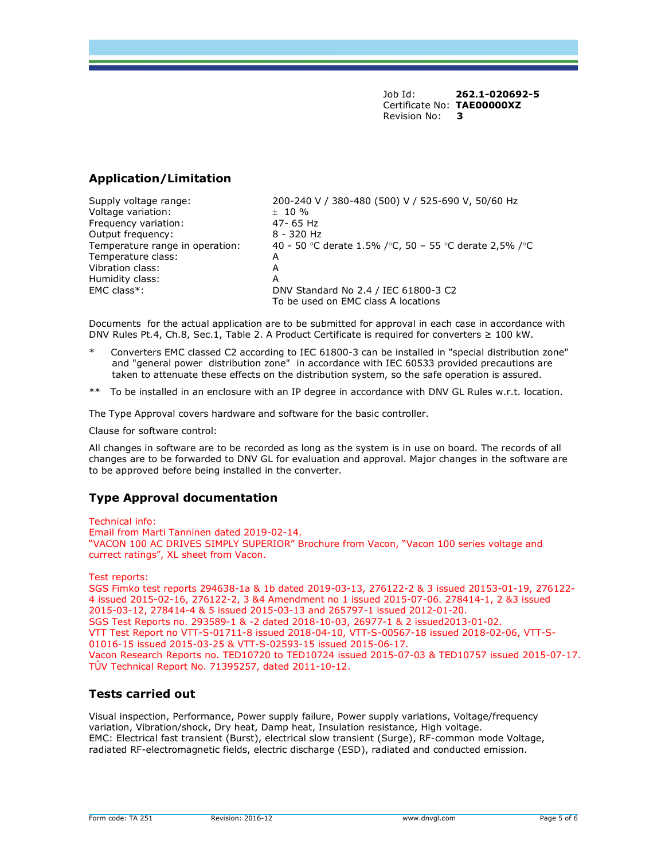## Application/Limitation

Supply voltage range: 200-240 V / 380-480 (500) V / 525-690 V, 50/60 Hz Voltage variation:  $\pm$  10 %<br>Frequency variation: 47-65 Hz Frequency variation: Output frequency: 8 - 320 Hz Temperature range in operation:  $40 - 50$  °C derate 1.5% /°C, 50 – 55 °C derate 2,5% /°C Temperature class: A Vibration class: A Humidity class: A EMC class\*: DNV Standard No 2.4 / IEC 61800-3 C2 To be used on EMC class A locations

Documents for the actual application are to be submitted for approval in each case in accordance with DNV Rules Pt.4, Ch.8, Sec.1, Table 2. A Product Certificate is required for converters ≥ 100 kW.

- Converters EMC classed C2 according to IEC 61800-3 can be installed in "special distribution zone" and "general power distribution zone" in accordance with IEC 60533 provided precautions are taken to attenuate these effects on the distribution system, so the safe operation is assured.
- \*\* To be installed in an enclosure with an IP degree in accordance with DNV GL Rules w.r.t. location.

The Type Approval covers hardware and software for the basic controller.

Clause for software control:

All changes in software are to be recorded as long as the system is in use on board. The records of all changes are to be forwarded to DNV GL for evaluation and approval. Major changes in the software are to be approved before being installed in the converter.

## Type Approval documentation

Technical info: Email from Marti Tanninen dated 2019-02-14. "VACON 100 AC DRIVES SIMPLY SUPERIOR" Brochure from Vacon, "Vacon 100 series voltage and currect ratings", XL sheet from Vacon.

Test reports:

SGS Fimko test reports 294638-1a & 1b dated 2019-03-13, 276122-2 & 3 issued 20153-01-19, 276122- 4 issued 2015-02-16, 276122-2, 3 &4 Amendment no 1 issued 2015-07-06. 278414-1, 2 &3 issued 2015-03-12, 278414-4 & 5 issued 2015-03-13 and 265797-1 issued 2012-01-20. SGS Test Reports no. 293589-1 & -2 dated 2018-10-03, 26977-1 & 2 issued2013-01-02. VTT Test Report no VTT-S-01711-8 issued 2018-04-10, VTT-S-00567-18 issued 2018-02-06, VTT-S-01016-15 issued 2015-03-25 & VTT-S-02593-15 issued 2015-06-17. Vacon Research Reports no. TED10720 to TED10724 issued 2015-07-03 & TED10757 issued 2015-07-17. TÛV Technical Report No. 71395257, dated 2011-10-12.

## Tests carried out

Visual inspection, Performance, Power supply failure, Power supply variations, Voltage/frequency variation, Vibration/shock, Dry heat, Damp heat, Insulation resistance, High voltage. EMC: Electrical fast transient (Burst), electrical slow transient (Surge), RF-common mode Voltage, radiated RF-electromagnetic fields, electric discharge (ESD), radiated and conducted emission.